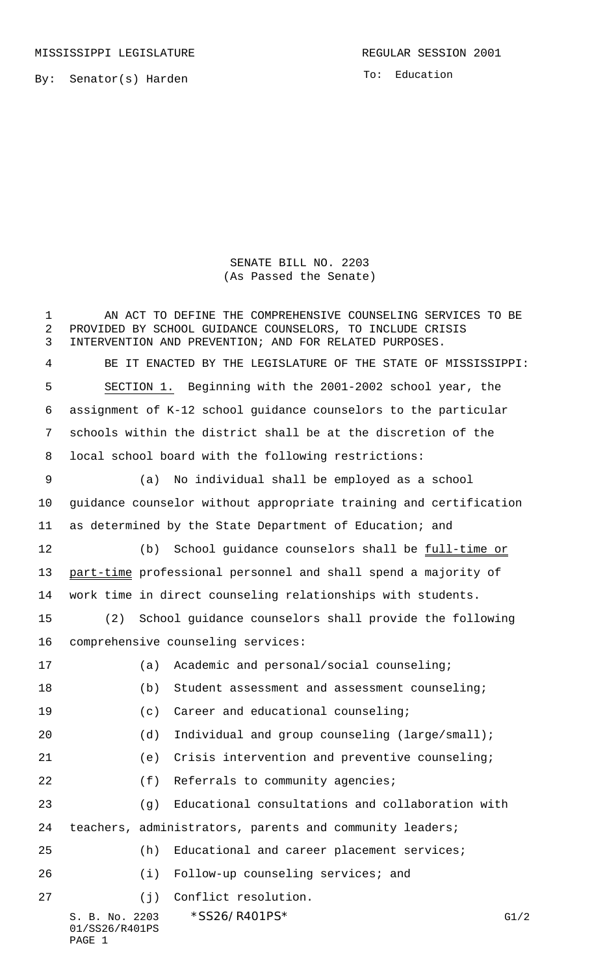MISSISSIPPI LEGISLATURE **REGULAR SESSION 2001** 

By: Senator(s) Harden

To: Education

SENATE BILL NO. 2203 (As Passed the Senate)

S. B. No. 2203 \* SS26/R401PS\* G1/2 01/SS26/R401PS 1 AN ACT TO DEFINE THE COMPREHENSIVE COUNSELING SERVICES TO BE PROVIDED BY SCHOOL GUIDANCE COUNSELORS, TO INCLUDE CRISIS INTERVENTION AND PREVENTION; AND FOR RELATED PURPOSES. BE IT ENACTED BY THE LEGISLATURE OF THE STATE OF MISSISSIPPI: SECTION 1. Beginning with the 2001-2002 school year, the assignment of K-12 school guidance counselors to the particular schools within the district shall be at the discretion of the local school board with the following restrictions: (a) No individual shall be employed as a school guidance counselor without appropriate training and certification as determined by the State Department of Education; and 12 (b) School guidance counselors shall be full-time or part-time professional personnel and shall spend a majority of work time in direct counseling relationships with students. (2) School guidance counselors shall provide the following comprehensive counseling services: (a) Academic and personal/social counseling; (b) Student assessment and assessment counseling; (c) Career and educational counseling; 20 (d) Individual and group counseling (large/small); (e) Crisis intervention and preventive counseling; 22 (f) Referrals to community agencies; (g) Educational consultations and collaboration with teachers, administrators, parents and community leaders; (h) Educational and career placement services; (i) Follow-up counseling services; and (j) Conflict resolution.